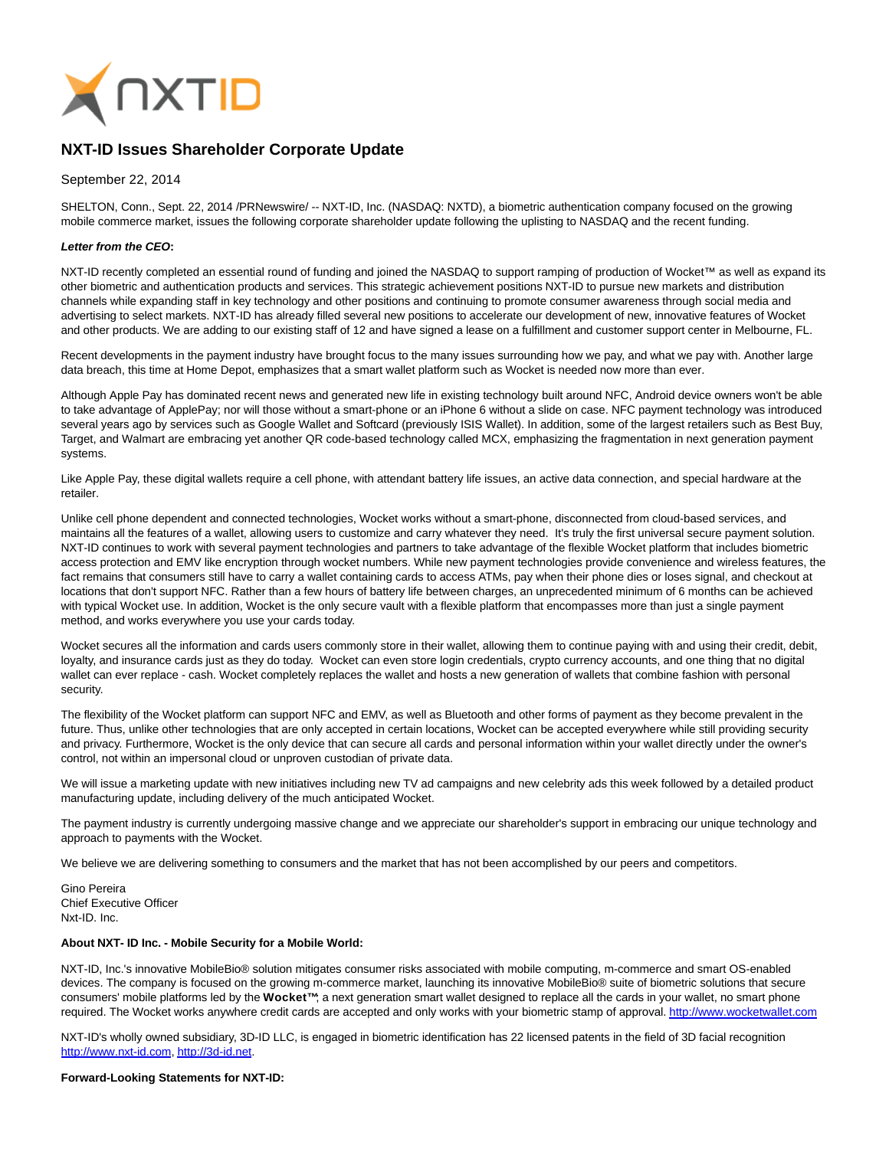

# **NXT-ID Issues Shareholder Corporate Update**

## September 22, 2014

SHELTON, Conn., Sept. 22, 2014 /PRNewswire/ -- NXT-ID, Inc. (NASDAQ: NXTD), a biometric authentication company focused on the growing mobile commerce market, issues the following corporate shareholder update following the uplisting to NASDAQ and the recent funding.

### **Letter from the CEO:**

NXT-ID recently completed an essential round of funding and joined the NASDAQ to support ramping of production of Wocket™ as well as expand its other biometric and authentication products and services. This strategic achievement positions NXT-ID to pursue new markets and distribution channels while expanding staff in key technology and other positions and continuing to promote consumer awareness through social media and advertising to select markets. NXT-ID has already filled several new positions to accelerate our development of new, innovative features of Wocket and other products. We are adding to our existing staff of 12 and have signed a lease on a fulfillment and customer support center in Melbourne, FL.

Recent developments in the payment industry have brought focus to the many issues surrounding how we pay, and what we pay with. Another large data breach, this time at Home Depot, emphasizes that a smart wallet platform such as Wocket is needed now more than ever.

Although Apple Pay has dominated recent news and generated new life in existing technology built around NFC, Android device owners won't be able to take advantage of ApplePay; nor will those without a smart-phone or an iPhone 6 without a slide on case. NFC payment technology was introduced several years ago by services such as Google Wallet and Softcard (previously ISIS Wallet). In addition, some of the largest retailers such as Best Buy, Target, and Walmart are embracing yet another QR code-based technology called MCX, emphasizing the fragmentation in next generation payment systems.

Like Apple Pay, these digital wallets require a cell phone, with attendant battery life issues, an active data connection, and special hardware at the retailer.

Unlike cell phone dependent and connected technologies, Wocket works without a smart-phone, disconnected from cloud-based services, and maintains all the features of a wallet, allowing users to customize and carry whatever they need. It's truly the first universal secure payment solution. NXT-ID continues to work with several payment technologies and partners to take advantage of the flexible Wocket platform that includes biometric access protection and EMV like encryption through wocket numbers. While new payment technologies provide convenience and wireless features, the fact remains that consumers still have to carry a wallet containing cards to access ATMs, pay when their phone dies or loses signal, and checkout at locations that don't support NFC. Rather than a few hours of battery life between charges, an unprecedented minimum of 6 months can be achieved with typical Wocket use. In addition, Wocket is the only secure vault with a flexible platform that encompasses more than just a single payment method, and works everywhere you use your cards today.

Wocket secures all the information and cards users commonly store in their wallet, allowing them to continue paying with and using their credit, debit, loyalty, and insurance cards just as they do today. Wocket can even store login credentials, crypto currency accounts, and one thing that no digital wallet can ever replace - cash. Wocket completely replaces the wallet and hosts a new generation of wallets that combine fashion with personal security.

The flexibility of the Wocket platform can support NFC and EMV, as well as Bluetooth and other forms of payment as they become prevalent in the future. Thus, unlike other technologies that are only accepted in certain locations, Wocket can be accepted everywhere while still providing security and privacy. Furthermore, Wocket is the only device that can secure all cards and personal information within your wallet directly under the owner's control, not within an impersonal cloud or unproven custodian of private data.

We will issue a marketing update with new initiatives including new TV ad campaigns and new celebrity ads this week followed by a detailed product manufacturing update, including delivery of the much anticipated Wocket.

The payment industry is currently undergoing massive change and we appreciate our shareholder's support in embracing our unique technology and approach to payments with the Wocket.

We believe we are delivering something to consumers and the market that has not been accomplished by our peers and competitors.

Gino Pereira Chief Executive Officer Nxt-ID. Inc.

#### **About NXT- ID Inc. - Mobile Security for a Mobile World:**

NXT-ID, Inc.'s innovative MobileBio® solution mitigates consumer risks associated with mobile computing, m-commerce and smart OS-enabled devices. The company is focused on the growing m-commerce market, launching its innovative MobileBio® suite of biometric solutions that secure consumers' mobile platforms led by the **Wocket™**; a next generation smart wallet designed to replace all the cards in your wallet, no smart phone required. The Wocket works anywhere credit cards are accepted and only works with your biometric stamp of approval[. http://www.wocketwallet.com](http://www.wocketwallet.com/)

NXT-ID's wholly owned subsidiary, 3D-ID LLC, is engaged in biometric identification has 22 licensed patents in the field of 3D facial recognition [http://www.nxt-id.com,](http://www.nxt-id.com/) [http://3d-id.net.](http://3d-id.net/)

#### **Forward-Looking Statements for NXT-ID:**